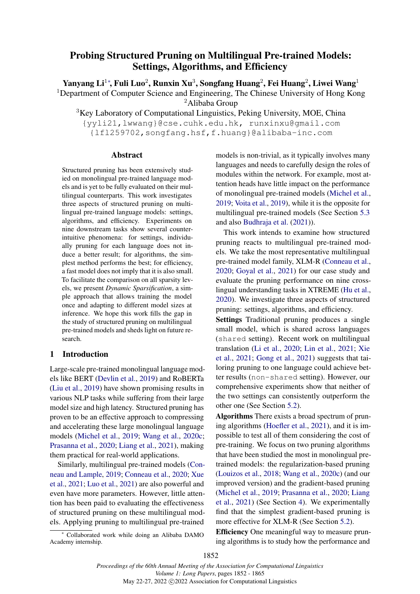# <span id="page-0-0"></span>Probing Structured Pruning on Multilingual Pre-trained Models: Settings, Algorithms, and Efficiency

Yanyang Li $^{1*}$ , Fuli Luo $^{2}$ , Runxin Xu $^{3}$ , Songfang Huang $^{2}$ , Fei Huang $^{2}$ , Liwei Wang $^{1}$ <sup>1</sup>Department of Computer Science and Engineering, The Chinese University of Hong Kong

<sup>2</sup>Alibaba Group

<sup>3</sup>Key Laboratory of Computational Linguistics, Peking University, MOE, China

{yyli21,lwwang}@cse.cuhk.edu.hk, runxinxu@gmail.com {lfl259702,songfang.hsf,f.huang}@alibaba-inc.com

### Abstract

Structured pruning has been extensively studied on monolingual pre-trained language models and is yet to be fully evaluated on their multilingual counterparts. This work investigates three aspects of structured pruning on multilingual pre-trained language models: settings, algorithms, and efficiency. Experiments on nine downstream tasks show several counterintuitive phenomena: for settings, individually pruning for each language does not induce a better result; for algorithms, the simplest method performs the best; for efficiency, a fast model does not imply that it is also small. To facilitate the comparison on all sparsity levels, we present *Dynamic Sparsification*, a simple approach that allows training the model once and adapting to different model sizes at inference. We hope this work fills the gap in the study of structured pruning on multilingual pre-trained models and sheds light on future research.

### 1 Introduction

Large-scale pre-trained monolingual language models like BERT [\(Devlin et al.,](#page-8-0) [2019\)](#page-8-0) and RoBERTa [\(Liu et al.,](#page-9-0) [2019\)](#page-9-0) have shown promising results in various NLP tasks while suffering from their large model size and high latency. Structured pruning has proven to be an effective approach to compressing and accelerating these large monolingual language models [\(Michel et al.,](#page-9-1) [2019;](#page-9-1) [Wang et al.,](#page-10-0) [2020c;](#page-10-0) [Prasanna et al.,](#page-10-1) [2020;](#page-10-1) [Liang et al.,](#page-9-2) [2021\)](#page-9-2), making them practical for real-world applications.

Similarly, multilingual pre-trained models [\(Con](#page-8-1)[neau and Lample,](#page-8-1) [2019;](#page-8-1) [Conneau et al.,](#page-8-2) [2020;](#page-8-2) [Xue](#page-10-2) [et al.,](#page-10-2) [2021;](#page-10-2) [Luo et al.,](#page-9-3) [2021\)](#page-9-3) are also powerful and even have more parameters. However, little attention has been paid to evaluating the effectiveness of structured pruning on these multilingual models. Applying pruning to multilingual pre-trained

<sup>∗</sup> Collaborated work while doing an Alibaba DAMO Academy internship.

models is non-trivial, as it typically involves many languages and needs to carefully design the roles of modules within the network. For example, most attention heads have little impact on the performance of monolingual pre-trained models [\(Michel et al.,](#page-9-1) [2019;](#page-9-1) [Voita et al.,](#page-10-3) [2019\)](#page-10-3), while it is the opposite for multilingual pre-trained models (See Section [5.3](#page-5-0) and also [Budhraja et al.](#page-8-3) [\(2021\)](#page-8-3)).

This work intends to examine how structured pruning reacts to multilingual pre-trained models. We take the most representative multilingual pre-trained model family, XLM-R [\(Conneau et al.,](#page-8-2) [2020;](#page-8-2) [Goyal et al.,](#page-9-4) [2021\)](#page-9-4) for our case study and evaluate the pruning performance on nine crosslingual understanding tasks in XTREME [\(Hu et al.,](#page-9-5) [2020\)](#page-9-5). We investigate three aspects of structured pruning: settings, algorithms, and efficiency.

Settings Traditional pruning produces a single small model, which is shared across languages (shared setting). Recent work on multilingual translation [\(Li et al.,](#page-9-6) [2020;](#page-9-6) [Lin et al.,](#page-9-7) [2021;](#page-9-7) [Xie](#page-10-4) [et al.,](#page-10-4) [2021;](#page-10-4) [Gong et al.,](#page-8-4) [2021\)](#page-8-4) suggests that tailoring pruning to one language could achieve better results (non-shared setting). However, our comprehensive experiments show that neither of the two settings can consistently outperform the other one (See Section [5.2\)](#page-4-0).

Algorithms There exists a broad spectrum of pruning algorithms [\(Hoefler et al.,](#page-9-8) [2021\)](#page-9-8), and it is impossible to test all of them considering the cost of pre-training. We focus on two pruning algorithms that have been studied the most in monolingual pretrained models: the regularization-based pruning [\(Louizos et al.,](#page-9-9) [2018;](#page-9-9) [Wang et al.,](#page-10-0) [2020c\)](#page-10-0) (and our improved version) and the gradient-based pruning [\(Michel et al.,](#page-9-1) [2019;](#page-9-1) [Prasanna et al.,](#page-10-1) [2020;](#page-10-1) [Liang](#page-9-2) [et al.,](#page-9-2) [2021\)](#page-9-2) (See Section [4\)](#page-2-0). We experimentally find that the simplest gradient-based pruning is more effective for XLM-R (See Section [5.2\)](#page-4-0).

Efficiency One meaningful way to measure pruning algorithms is to study how the performance and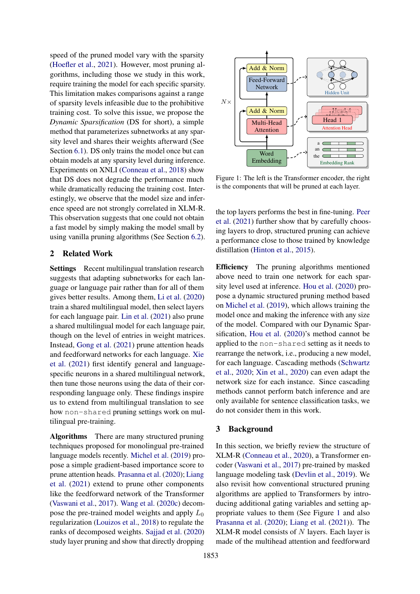speed of the pruned model vary with the sparsity [\(Hoefler et al.,](#page-9-8) [2021\)](#page-9-8). However, most pruning algorithms, including those we study in this work, require training the model for each specific sparsity. This limitation makes comparisons against a range of sparsity levels infeasible due to the prohibitive training cost. To solve this issue, we propose the *Dynamic Sparsification* (DS for short), a simple method that parameterizes subnetworks at any sparsity level and shares their weights afterward (See Section [6.1\)](#page-6-0). DS only trains the model once but can obtain models at any sparsity level during inference. Experiments on XNLI [\(Conneau et al.,](#page-8-5) [2018\)](#page-8-5) show that DS does not degrade the performance much while dramatically reducing the training cost. Interestingly, we observe that the model size and inference speed are not strongly correlated in XLM-R. This observation suggests that one could not obtain a fast model by simply making the model small by using vanilla pruning algorithms (See Section [6.2\)](#page-7-0).

### 2 Related Work

Settings Recent multilingual translation research suggests that adapting subnetworks for each language or language pair rather than for all of them gives better results. Among them, [Li et al.](#page-9-6) [\(2020\)](#page-9-6) train a shared multilingual model, then select layers for each language pair. [Lin et al.](#page-9-7) [\(2021\)](#page-9-7) also prune a shared multilingual model for each language pair, though on the level of entries in weight matrices. Instead, [Gong et al.](#page-8-4) [\(2021\)](#page-8-4) prune attention heads and feedforward networks for each language. [Xie](#page-10-4) [et al.](#page-10-4) [\(2021\)](#page-10-4) first identify general and languagespecific neurons in a shared multilingual network, then tune those neurons using the data of their corresponding language only. These findings inspire us to extend from multilingual translation to see how non-shared pruning settings work on multilingual pre-training.

Algorithms There are many structured pruning techniques proposed for monolingual pre-trained language models recently. [Michel et al.](#page-9-1) [\(2019\)](#page-9-1) propose a simple gradient-based importance score to prune attention heads. [Prasanna et al.](#page-10-1) [\(2020\)](#page-10-1); [Liang](#page-9-2) [et al.](#page-9-2) [\(2021\)](#page-9-2) extend to prune other components like the feedforward network of the Transformer [\(Vaswani et al.,](#page-10-5) [2017\)](#page-10-5). [Wang et al.](#page-10-0) [\(2020c\)](#page-10-0) decompose the pre-trained model weights and apply  $L_0$ regularization [\(Louizos et al.,](#page-9-9) [2018\)](#page-9-9) to regulate the ranks of decomposed weights. [Sajjad et al.](#page-10-6) [\(2020\)](#page-10-6) study layer pruning and show that directly dropping

<span id="page-1-0"></span>

Figure 1: The left is the Transformer encoder, the right is the components that will be pruned at each layer.

the top layers performs the best in fine-tuning. [Peer](#page-10-7) [et al.](#page-10-7) [\(2021\)](#page-10-7) further show that by carefully choosing layers to drop, structured pruning can achieve a performance close to those trained by knowledge distillation [\(Hinton et al.,](#page-9-10) [2015\)](#page-9-10).

Efficiency The pruning algorithms mentioned above need to train one network for each sparsity level used at inference. [Hou et al.](#page-9-11) [\(2020\)](#page-9-11) propose a dynamic structured pruning method based on [Michel et al.](#page-9-1) [\(2019\)](#page-9-1), which allows training the model once and making the inference with any size of the model. Compared with our Dynamic Sparsification, [Hou et al.](#page-9-11) [\(2020\)](#page-9-11)'s method cannot be applied to the non-shared setting as it needs to rearrange the network, i.e., producing a new model, for each language. Cascading methods [\(Schwartz](#page-10-8) [et al.,](#page-10-8) [2020;](#page-10-8) [Xin et al.,](#page-10-9) [2020\)](#page-10-9) can even adapt the network size for each instance. Since cascading methods cannot perform batch inference and are only available for sentence classification tasks, we do not consider them in this work.

### 3 Background

In this section, we briefly review the structure of XLM-R [\(Conneau et al.,](#page-8-2) [2020\)](#page-8-2), a Transformer encoder [\(Vaswani et al.,](#page-10-5) [2017\)](#page-10-5) pre-trained by masked language modeling task [\(Devlin et al.,](#page-8-0) [2019\)](#page-8-0). We also revisit how conventional structured pruning algorithms are applied to Transformers by introducing additional gating variables and setting appropriate values to them (See Figure [1](#page-1-0) and also [Prasanna et al.](#page-10-1) [\(2020\)](#page-10-1); [Liang et al.](#page-9-2) [\(2021\)](#page-9-2)). The XLM-R model consists of  $N$  layers. Each layer is made of the multihead attention and feedforward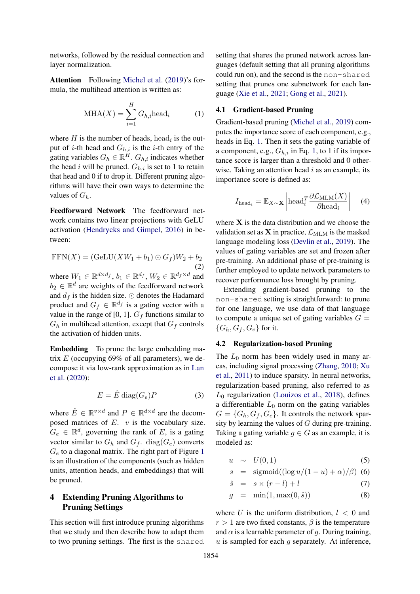networks, followed by the residual connection and layer normalization.

Attention Following [Michel et al.](#page-9-1) [\(2019\)](#page-9-1)'s formula, the multihead attention is written as:

$$
MHA(X) = \sum_{i=1}^{H} G_{h,i}head_i
$$
 (1)

where  $H$  is the number of heads, head<sub>i</sub> is the output of *i*-th head and  $G_{h,i}$  is the *i*-th entry of the gating variables  $G_h \in \mathbb{R}^H$ .  $G_{h,i}$  indicates whether the head i will be pruned.  $G_{h,i}$  is set to 1 to retain that head and 0 if to drop it. Different pruning algorithms will have their own ways to determine the values of  $G_h$ .

Feedforward Network The feedforward network contains two linear projections with GeLU activation [\(Hendrycks and Gimpel,](#page-9-12) [2016\)](#page-9-12) in between:

$$
FFN(X) = (GeLU(XW_1 + b_1) \odot G_f)W_2 + b_2
$$
\n(2)

where  $W_1 \in \mathbb{R}^{d \times d_f}$ ,  $b_1 \in \mathbb{R}^{d_f}$ ,  $W_2 \in \mathbb{R}^{d_f \times d}$  and  $b_2 \in \mathbb{R}^d$  are weights of the feedforward network and  $d_f$  is the hidden size.  $\odot$  denotes the Hadamard product and  $G_f \in \mathbb{R}^{d_f}$  is a gating vector with a value in the range of [0, 1].  $G_f$  functions similar to  $G_h$  in multihead attention, except that  $G_f$  controls the activation of hidden units.

Embedding To prune the large embedding matrix  $E$  (occupying 69% of all parameters), we decompose it via low-rank approximation as in [Lan](#page-9-13) [et al.](#page-9-13) [\(2020\)](#page-9-13):

$$
E = \hat{E} \operatorname{diag}(G_e)P \tag{3}
$$

where  $\hat{E} \in \mathbb{R}^{v \times d}$  and  $P \in \mathbb{R}^{d \times d}$  are the decomposed matrices of  $E$ .  $v$  is the vocabulary size.  $G_e \in \mathbb{R}^d$ , governing the rank of E, is a gating vector similar to  $G_h$  and  $G_f$ . diag( $G_e$ ) converts  $G_e$  to a diagonal matrix. The right part of Figure [1](#page-1-0) is an illustration of the components (such as hidden units, attention heads, and embeddings) that will be pruned.

## <span id="page-2-0"></span>4 Extending Pruning Algorithms to Pruning Settings

This section will first introduce pruning algorithms that we study and then describe how to adapt them to two pruning settings. The first is the shared setting that shares the pruned network across languages (default setting that all pruning algorithms could run on), and the second is the non-shared setting that prunes one subnetwork for each language [\(Xie et al.,](#page-10-4) [2021;](#page-10-4) [Gong et al.,](#page-8-4) [2021\)](#page-8-4).

#### <span id="page-2-1"></span>4.1 Gradient-based Pruning

Gradient-based pruning [\(Michel et al.,](#page-9-1) [2019\)](#page-9-1) computes the importance score of each component, e.g., heads in Eq. [1.](#page-2-1) Then it sets the gating variable of a component, e.g.,  $G_{h,i}$  in Eq. [1,](#page-2-1) to 1 if its importance score is larger than a threshold and 0 otherwise. Taking an attention head  $i$  as an example, its importance score is defined as:

$$
I_{\text{head}_i} = \mathbb{E}_{X \sim \mathbf{X}} \left| \text{head}_i^T \frac{\partial \mathcal{L}_{\text{MLM}}(X)}{\partial \text{head}_i} \right| \tag{4}
$$

where  $X$  is the data distribution and we choose the validation set as  $X$  in practice,  $\mathcal{L}_{MLM}$  is the masked language modeling loss [\(Devlin et al.,](#page-8-0) [2019\)](#page-8-0). The values of gating variables are set and frozen after pre-training. An additional phase of pre-training is further employed to update network parameters to recover performance loss brought by pruning.

Extending gradient-based pruning to the non-shared setting is straightforward: to prune for one language, we use data of that language to compute a unique set of gating variables  $G =$  ${G_h, G_f, G_e}$  for it.

### <span id="page-2-3"></span>4.2 Regularization-based Pruning

The  $L_0$  norm has been widely used in many areas, including signal processing [\(Zhang,](#page-10-10) [2010;](#page-10-10) [Xu](#page-10-11) [et al.,](#page-10-11) [2011\)](#page-10-11) to induce sparsity. In neural networks, regularization-based pruning, also referred to as  $L_0$  regularization [\(Louizos et al.,](#page-9-9) [2018\)](#page-9-9), defines a differentiable  $L_0$  norm on the gating variables  $G = \{G_h, G_f, G_e\}$ . It controls the network sparsity by learning the values of G during pre-training. Taking a gating variable  $q \in G$  as an example, it is modeled as:

<span id="page-2-2"></span>
$$
u \sim U(0,1) \tag{5}
$$

$$
s = \text{sigmoid}((\log u/(1-u)+\alpha)/\beta) \tag{6}
$$

$$
\hat{s} = s \times (r - l) + l \tag{7}
$$

$$
g = \min(1, \max(0, \hat{s})) \tag{8}
$$

where U is the uniform distribution,  $l < 0$  and  $r > 1$  are two fixed constants,  $\beta$  is the temperature and  $\alpha$  is a learnable parameter of q. During training,  $u$  is sampled for each  $q$  separately. At inference,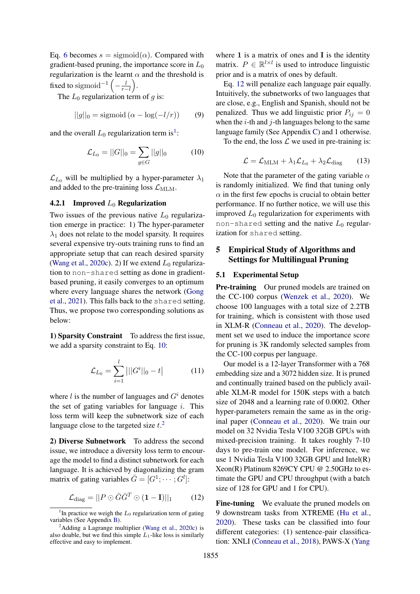Eq. [6](#page-2-2) becomes  $s = \text{sigmoid}(\alpha)$ . Compared with gradient-based pruning, the importance score in  $L_0$ regularization is the learnt  $\alpha$  and the threshold is fixed to sigmoid<sup>-1</sup>  $\left(-\frac{l}{r-l}\right)$ .

The  $L_0$  regularization term of q is:

$$
||g||_0 = \text{sigmoid}\left(\alpha - \log(-l/r)\right) \tag{9}
$$

and the overall  $L_0$  regularization term is<sup>[1](#page-3-0)</sup>:

$$
\mathcal{L}_{L_0} = ||G||_0 = \sum_{g \in G} ||g||_0 \tag{10}
$$

 $\mathcal{L}_{L_0}$  will be multiplied by a hyper-parameter  $\lambda_1$ and added to the pre-training loss  $\mathcal{L}_{MLM}$ .

### <span id="page-3-5"></span>4.2.1 Improved  $L_0$  Regularization

Two issues of the previous native  $L_0$  regularization emerge in practice: 1) The hyper-parameter  $\lambda_1$  does not relate to the model sparsity. It requires several expensive try-outs training runs to find an appropriate setup that can reach desired sparsity [\(Wang et al.,](#page-10-0) [2020c\)](#page-10-0). 2) If we extend  $L_0$  regularization to non-shared setting as done in gradientbased pruning, it easily converges to an optimum where every language shares the network [\(Gong](#page-8-4) [et al.,](#page-8-4) [2021\)](#page-8-4). This falls back to the shared setting. Thus, we propose two corresponding solutions as below:

1) **Sparsity Constraint** To address the first issue, we add a sparsity constraint to Eq. [10:](#page-3-1)

$$
\mathcal{L}_{L_0} = \sum_{i=1}^{l} |||G^i||_0 - t| \tag{11}
$$

where  $l$  is the number of languages and  $G<sup>i</sup>$  denotes the set of gating variables for language  $i$ . This loss term will keep the subnetwork size of each language close to the targeted size  $t^2$  $t^2$ .

2) Diverse Subnetwork To address the second issue, we introduce a diversity loss term to encourage the model to find a distinct subnetwork for each language. It is achieved by diagonalizing the gram matrix of gating variables  $\bar{G} = [G^1; \dots; G^l]$ :

$$
\mathcal{L}_{\text{diag}} = ||P \odot \bar{G}\bar{G}^T \odot (\mathbf{1} - \mathbf{I})||_1 \quad (12)
$$

where  $1$  is a matrix of ones and  $I$  is the identity matrix.  $P \in \mathbb{R}^{l \times l}$  is used to introduce linguistic prior and is a matrix of ones by default.

Eq. [12](#page-3-3) will penalize each language pair equally. Intuitively, the subnetworks of two languages that are close, e.g., English and Spanish, should not be penalized. Thus we add linguistic prior  $P_{ij} = 0$ when the  $i$ -th and  $j$ -th languages belong to the same language family (See Appendix [C\)](#page-11-1) and 1 otherwise.

<span id="page-3-1"></span>To the end, the loss  $\mathcal L$  we used in pre-training is:

$$
\mathcal{L} = \mathcal{L}_{\text{MLM}} + \lambda_1 \mathcal{L}_{L_0} + \lambda_2 \mathcal{L}_{\text{diag}} \qquad (13)
$$

Note that the parameter of the gating variable  $\alpha$ is randomly initialized. We find that tuning only  $\alpha$  in the first few epochs is crucial to obtain better performance. If no further notice, we will use this improved  $L_0$  regularization for experiments with non-shared setting and the native  $L_0$  regularization for shared setting.

## 5 Empirical Study of Algorithms and Settings for Multilingual Pruning

#### 5.1 Experimental Setup

Pre-training Our pruned models are trained on the CC-100 corpus [\(Wenzek et al.,](#page-10-12) [2020\)](#page-10-12). We choose 100 languages with a total size of 2.2TB for training, which is consistent with those used in XLM-R [\(Conneau et al.,](#page-8-2) [2020\)](#page-8-2). The development set we used to induce the importance score for pruning is 3K randomly selected samples from the CC-100 corpus per language.

<span id="page-3-4"></span>Our model is a 12-layer Transformer with a 768 embedding size and a 3072 hidden size. It is pruned and continually trained based on the publicly available XLM-R model for 150K steps with a batch size of 2048 and a learning rate of 0.0002. Other hyper-parameters remain the same as in the original paper [\(Conneau et al.,](#page-8-2) [2020\)](#page-8-2). We train our model on 32 Nvidia Tesla V100 32GB GPUs with mixed-precision training. It takes roughly 7-10 days to pre-train one model. For inference, we use 1 Nvidia Tesla V100 32GB GPU and Intel(R) Xeon(R) Platinum 8269CY CPU @ 2.50GHz to estimate the GPU and CPU throughput (with a batch size of 128 for GPU and 1 for CPU).

<span id="page-3-3"></span>Fine-tuning We evaluate the pruned models on 9 downstream tasks from XTREME [\(Hu et al.,](#page-9-5) [2020\)](#page-9-5). These tasks can be classified into four different categories: (1) sentence-pair classification: XNLI [\(Conneau et al.,](#page-8-5) [2018\)](#page-8-5), PAWS-X [\(Yang](#page-10-13)

<span id="page-3-0"></span><sup>&</sup>lt;sup>1</sup>In practice we weigh the  $L_0$  regularization term of gating variables (See Appendix [B\)](#page-11-0).

<span id="page-3-2"></span> $2$ Adding a Lagrange multiplier [\(Wang et al.,](#page-10-0) [2020c\)](#page-10-0) is also doable, but we find this simple  $L_1$ -like loss is similarly effective and easy to implement.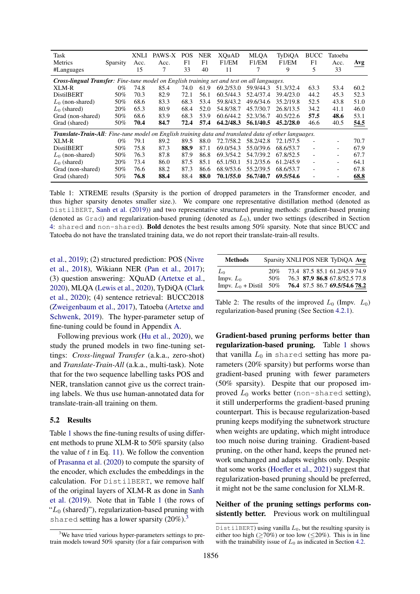<span id="page-4-1"></span>

| Task<br>Metrics<br>#Languages                                                                                | Sparsity | XNLI<br>Acc.<br>15 | PAWS-X<br>Acc. | <b>POS</b><br>F1<br>33 | <b>NER</b><br>F1<br>40 | XQuAD<br>F1/EM<br>11 | <b>MLQA</b><br>F1/EM | TyDiQA<br>F1/EM<br>9 | <b>BUCC</b><br>F1<br>5 | Tatoeba<br>Acc.<br>33 | Avg  |
|--------------------------------------------------------------------------------------------------------------|----------|--------------------|----------------|------------------------|------------------------|----------------------|----------------------|----------------------|------------------------|-----------------------|------|
| <b>Cross-lingual Transfer</b> : Fine-tune model on English training set and test on all languages.           |          |                    |                |                        |                        |                      |                      |                      |                        |                       |      |
| XLM-R                                                                                                        | $0\%$    | 74.8               | 85.4           | 74.0                   | 61.9                   | 69.2/53.0            | 59.9/44.3            | 51.3/32.4            | 63.3                   | 53.4                  | 60.2 |
| DistilBERT                                                                                                   | 50%      | 70.3               | 82.9           | 72.1                   | 56.1                   | 60.5/44.3            | 52.4/37.4            | 39.4/23.0            | 44.2                   | 45.3                  | 52.3 |
| $L_0$ (non-shared)                                                                                           | 50%      | 68.6               | 83.3           | 68.3                   | 53.4                   | 59.8/43.2            | 49.6/34.6            | 35.2/19.8            | 52.5                   | 43.8                  | 51.0 |
| $L_0$ (shared)                                                                                               | 20%      | 65.3               | 80.9           | 68.4                   | 52.0                   | 54.8/38.7            | 45.7/30.7            | 26.8/13.5            | 34.2                   | 41.1                  | 46.0 |
| Grad (non-shared)                                                                                            | 50%      | 68.6               | 83.9           | 68.3                   | 53.9                   | 60.6/44.2            | 52.3/36.7            | 40.5/22.6            | 57.5                   | 48.6                  | 53.1 |
| Grad (shared)                                                                                                | 50%      | 70.4               | 84.7           | 72.4                   | 57.4                   | 64.2/48.3            | 56.1/40.5            | 45.2/28.0            | 46.6                   | 40.5                  | 54.5 |
| <b>Translate-Train-All:</b> Fine-tune model on English training data and translated data of other languages. |          |                    |                |                        |                        |                      |                      |                      |                        |                       |      |
| XLM-R                                                                                                        | $0\%$    | 79.1               | 89.2           | 89.5                   | 88.0                   | 72.7/58.2            | 58.2/42.8            | 72.1/57.5            | ٠                      |                       | 70.7 |
| <b>DistilBERT</b>                                                                                            | 50%      | 75.8               | 87.3           | 88.9                   | 87.1                   | 69.0/54.3            | 55.0/39.6            | 68.6/53.7            | ۰                      |                       | 67.9 |
| $L_0$ (non-shared)                                                                                           | 50%      | 76.3               | 87.8           | 87.9                   | 86.8                   | 69.3/54.2            | 54.7/39.2            | 67.8/52.5            | ٠                      |                       | 67.7 |
| $L_0$ (shared)                                                                                               | 20%      | 73.4               | 86.0           | 87.5                   | 85.1                   | 65.1/50.1            | 51.2/35.6            | 61.2/45.9            | ٠                      |                       | 64.1 |
| Grad (non-shared)                                                                                            | 50%      | 76.6               | 88.2           | 87.3                   | 86.6                   | 68.9/53.6            | 55.2/39.5            | 68.6/53.7            |                        |                       | 67.8 |
| Grad (shared)                                                                                                | 50%      | 76.8               | 88.4           | 88.4                   | 88.0                   | 70.1/55.0            | 56.7/40.7            | 69.5/54.6            |                        |                       | 68.8 |

Table 1: XTREME results (Sparsity is the portion of dropped parameters in the Transformer encoder, and thus higher sparsity denotes smaller size.). We compare one representative distillation method (denoted as DistilBERT, [Sanh et al.](#page-10-14) [\(2019\)](#page-10-14)) and two representative structured pruning methods: gradient-based pruning (denoted as  $Grad$ ) and regularization-based pruning (denoted as  $L_0$ ), under two settings (described in Section [4:](#page-2-0) shared and non-shared). Bold denotes the best results among 50% sparsity. Note that since BUCC and Tatoeba do not have the translated training data, we do not report their translate-train-all results.

[et al.,](#page-10-13) [2019\)](#page-10-13); (2) structured prediction: POS [\(Nivre](#page-9-14) [et al.,](#page-9-14) [2018\)](#page-9-14), Wikiann NER [\(Pan et al.,](#page-9-15) [2017\)](#page-9-15); (3) question answering: XQuAD [\(Artetxe et al.,](#page-8-6) [2020\)](#page-8-6), MLQA [\(Lewis et al.,](#page-9-16) [2020\)](#page-9-16), TyDiQA [\(Clark](#page-8-7) [et al.,](#page-8-7) [2020\)](#page-8-7); (4) sentence retrieval: BUCC2018 [\(Zweigenbaum et al.,](#page-10-15) [2017\)](#page-10-15), Tatoeba [\(Artetxe and](#page-8-8) [Schwenk,](#page-8-8) [2019\)](#page-8-8). The hyper-parameter setup of fine-tuning could be found in Appendix [A.](#page-11-2)

Following previous work [\(Hu et al.,](#page-9-5) [2020\)](#page-9-5), we study the pruned models in two fine-tuning settings: *Cross-lingual Transfer* (a.k.a., zero-shot) and *Translate-Train-All* (a.k.a., multi-task). Note that for the two sequence labelling tasks POS and NER, translation cannot give us the correct training labels. We thus use human-annotated data for translate-train-all training on them.

#### <span id="page-4-0"></span>5.2 Results

Table [1](#page-4-1) shows the fine-tuning results of using different methods to prune XLM-R to 50% sparsity (also the value of  $t$  in Eq. [11\)](#page-3-4). We follow the convention of [Prasanna et al.](#page-10-1) [\(2020\)](#page-10-1) to compute the sparsity of the encoder, which excludes the embeddings in the calculation. For DistilBERT, we remove half of the original layers of XLM-R as done in [Sanh](#page-10-14) [et al.](#page-10-14) [\(2019\)](#page-10-14). Note that in Table [1](#page-4-1) (the rows of " $L_0$  (shared)"), regularization-based pruning with shared setting has a lower sparsity  $(20\%)$ .<sup>[3](#page-4-2)</sup>

<span id="page-4-3"></span>

| <b>Methods</b>       | Sparsity XNLI POS NER TyDiQA Avg |  |                               |  |
|----------------------|----------------------------------|--|-------------------------------|--|
| L٥                   | 20%                              |  | 73.4 87.5 85.1 61.2/45.9 74.9 |  |
| Impv. $L_0$          | 50%                              |  | 76.3 87.9 86.8 67.8/52.5 77.8 |  |
| Impv. $L_0$ + Distil | 50%                              |  | 76.4 87.5 86.7 69.5/54.6 78.2 |  |

Table 2: The results of the improved  $L_0$  (Impv.  $L_0$ ) regularization-based pruning (See Section [4.2.1\)](#page-3-5).

Gradient-based pruning performs better than regularization-based pruning. Table [1](#page-4-1) shows that vanilla  $L_0$  in shared setting has more parameters (20% sparsity) but performs worse than gradient-based pruning with fewer parameters (50% sparsity). Despite that our proposed improved  $L_0$  works better (non-shared setting), it still underperforms the gradient-based pruning counterpart. This is because regularization-based pruning keeps modifying the subnetwork structure when weights are updating, which might introduce too much noise during training. Gradient-based pruning, on the other hand, keeps the pruned network unchanged and adapts weights only. Despite that some works [\(Hoefler et al.,](#page-9-8) [2021\)](#page-9-8) suggest that regularization-based pruning should be preferred, it might not be the same conclusion for XLM-R.

Neither of the pruning settings performs consistently better. Previous work on multilingual

<span id="page-4-2"></span><sup>&</sup>lt;sup>3</sup>We have tried various hyper-parameters settings to pretrain models toward 50% sparsity (for a fair comparison with

DistilBERT) using vanilla  $L_0$ , but the resulting sparsity is either too high ( $\geq$ 70%) or too low ( $\leq$ 20%). This is in line with the trainability issue of  $L_0$  as indicated in Section [4.2.](#page-2-3)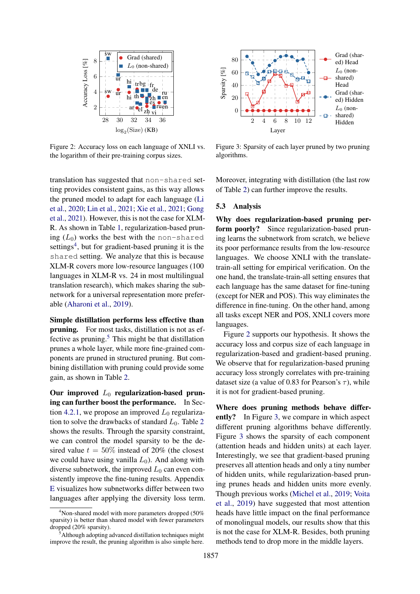<span id="page-5-3"></span>

Figure 2: Accuracy loss on each language of XNLI vs. the logarithm of their pre-training corpus sizes.

translation has suggested that non-shared setting provides consistent gains, as this way allows the pruned model to adapt for each language [\(Li](#page-9-6) [et al.,](#page-9-6) [2020;](#page-9-6) [Lin et al.,](#page-9-7) [2021;](#page-9-7) [Xie et al.,](#page-10-4) [2021;](#page-10-4) [Gong](#page-8-4) [et al.,](#page-8-4) [2021\)](#page-8-4). However, this is not the case for XLM-R. As shown in Table [1,](#page-4-1) regularization-based pruning  $(L_0)$  works the best with the non-shared settings<sup>[4](#page-5-1)</sup>, but for gradient-based pruning it is the shared setting. We analyze that this is because XLM-R covers more low-resource languages (100 languages in XLM-R vs. 24 in most multilingual translation research), which makes sharing the subnetwork for a universal representation more preferable [\(Aharoni et al.,](#page-8-9) [2019\)](#page-8-9).

Simple distillation performs less effective than pruning. For most tasks, distillation is not as ef-fective as pruning.<sup>[5](#page-5-2)</sup> This might be that distillation prunes a whole layer, while more fine-grained components are pruned in structured pruning. But combining distillation with pruning could provide some gain, as shown in Table [2.](#page-4-3)

Our improved  $L_0$  regularization-based pruning can further boost the performance. In Sec-tion [4.2.1,](#page-3-5) we propose an improved  $L_0$  regularization to solve the drawbacks of standard  $L_0$ . Table [2](#page-4-3) shows the results. Through the sparsity constraint, we can control the model sparsity to be the desired value  $t = 50\%$  instead of 20% (the closest we could have using vanilla  $L_0$ ). And along with diverse subnetwork, the improved  $L_0$  can even consistently improve the fine-tuning results. Appendix [E](#page-12-0) visualizes how subnetworks differ between two languages after applying the diversity loss term.

<span id="page-5-4"></span>

Figure 3: Sparsity of each layer pruned by two pruning algorithms.

Moreover, integrating with distillation (the last row of Table [2\)](#page-4-3) can further improve the results.

#### <span id="page-5-0"></span>5.3 Analysis

Why does regularization-based pruning perform poorly? Since regularization-based pruning learns the subnetwork from scratch, we believe its poor performance results from the low-resource languages. We choose XNLI with the translatetrain-all setting for empirical verification. On the one hand, the translate-train-all setting ensures that each language has the same dataset for fine-tuning (except for NER and POS). This way eliminates the difference in fine-tuning. On the other hand, among all tasks except NER and POS, XNLI covers more languages.

Figure [2](#page-5-3) supports our hypothesis. It shows the accuracy loss and corpus size of each language in regularization-based and gradient-based pruning. We observe that for regularization-based pruning accuracy loss strongly correlates with pre-training dataset size (a value of 0.83 for Pearson's  $\tau$ ), while it is not for gradient-based pruning.

Where does pruning methods behave differently? In Figure [3,](#page-5-4) we compare in which aspect different pruning algorithms behave differently. Figure [3](#page-5-4) shows the sparsity of each component (attention heads and hidden units) at each layer. Interestingly, we see that gradient-based pruning preserves all attention heads and only a tiny number of hidden units, while regularization-based pruning prunes heads and hidden units more evenly. Though previous works [\(Michel et al.,](#page-9-1) [2019;](#page-9-1) [Voita](#page-10-3) [et al.,](#page-10-3) [2019\)](#page-10-3) have suggested that most attention heads have little impact on the final performance of monolingual models, our results show that this is not the case for XLM-R. Besides, both pruning methods tend to drop more in the middle layers.

<span id="page-5-1"></span> $4$ Non-shared model with more parameters dropped (50%) sparsity) is better than shared model with fewer parameters dropped (20% sparsity).

<span id="page-5-2"></span>Although adopting advanced distillation techniques might improve the result, the pruning algorithm is also simple here.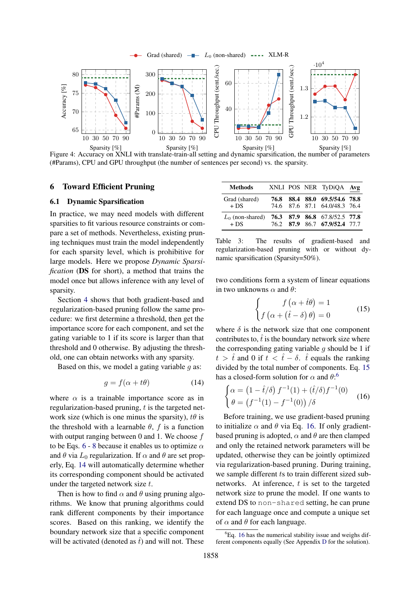<span id="page-6-6"></span>

Figure 4: Accuracy on XNLI with translate-train-all setting and dynamic sparsification, the number of parameters (#Params), CPU and GPU throughput (the number of sentences per second) vs. the sparsity.

### <span id="page-6-7"></span>6 Toward Efficient Pruning

### <span id="page-6-0"></span>6.1 Dynamic Sparsification

In practice, we may need models with different sparsities to fit various resource constraints or compare a set of methods. Nevertheless, existing pruning techniques must train the model independently for each sparsity level, which is prohibitive for large models. Here we propose *Dynamic Sparsification* (DS for short), a method that trains the model once but allows inference with any level of sparsity.

Section [4](#page-2-0) shows that both gradient-based and regularization-based pruning follow the same procedure: we first determine a threshold, then get the importance score for each component, and set the gating variable to 1 if its score is larger than that threshold and 0 otherwise. By adjusting the threshold, one can obtain networks with any sparsity.

Based on this, we model a gating variable  $q$  as:

$$
g = f(\alpha + t\theta) \tag{14}
$$

where  $\alpha$  is a trainable importance score as in regularization-based pruning,  $t$  is the targeted network size (which is one minus the sparsity),  $t\theta$  is the threshold with a learnable  $\theta$ , f is a function with output ranging between 0 and 1. We choose f to be Eqs. [6](#page-2-2) - [8](#page-2-2) because it enables us to optimize  $\alpha$ and  $\theta$  via  $L_0$  regularization. If  $\alpha$  and  $\theta$  are set properly, Eq. [14](#page-6-1) will automatically determine whether its corresponding component should be activated under the targeted network size t.

Then is how to find  $\alpha$  and  $\theta$  using pruning algorithms. We know that pruning algorithms could rank different components by their importance scores. Based on this ranking, we identify the boundary network size that a specific component will be activated (denoted as  $\hat{t}$ ) and will not. These

<span id="page-6-5"></span>

| Methods                                                    |  | XNLI POS NER TyDiQA Avg                                        |  |
|------------------------------------------------------------|--|----------------------------------------------------------------|--|
| Grad (shared)<br>$+ DS$                                    |  | 76.8 88.4 88.0 69.5/54.6 78.8<br>74.6 87.6 87.1 64.0/48.3 76.4 |  |
| $L_0$ (non-shared) 76.3 87.9 86.8 67.8/52.5 77.8<br>$+ DS$ |  | 76.2 87.9 86.7 67.9/52.4 77.7                                  |  |

Table 3: The results of gradient-based and regularization-based pruning with or without dynamic sparsification (Sparsity=50%).

two conditions form a system of linear equations in two unknowns  $\alpha$  and  $\theta$ :

<span id="page-6-4"></span><span id="page-6-2"></span>
$$
\begin{cases}\nf\left(\alpha + \hat{t}\theta\right) = 1\\ \nf\left(\alpha + \left(\hat{t} - \delta\right)\theta\right) = 0\end{cases}
$$
\n(15)

where  $\delta$  is the network size that one component contributes to,  $\hat{t}$  is the boundary network size where the corresponding gating variable  $g$  should be 1 if  $t > \hat{t}$  and 0 if  $t < \hat{t} - \delta$ .  $\hat{t}$  equals the ranking divided by the total number of components. Eq. [15](#page-6-2) has a closed-form solution for  $\alpha$  and  $\theta$ :<sup>[6](#page-6-3)</sup>

<span id="page-6-1"></span>
$$
\begin{cases} \alpha = (1 - \hat{t}/\delta) f^{-1}(1) + (\hat{t}/\delta) f^{-1}(0) \\ \theta = (f^{-1}(1) - f^{-1}(0)) / \delta \end{cases}
$$
 (16)

Before training, we use gradient-based pruning to initialize  $\alpha$  and  $\theta$  via Eq. [16.](#page-6-4) If only gradientbased pruning is adopted,  $\alpha$  and  $\theta$  are then clamped and only the retained network parameters will be updated, otherwise they can be jointly optimized via regularization-based pruning. During training, we sample different ts to train different sized subnetworks. At inference,  $t$  is set to the targeted network size to prune the model. If one wants to extend DS to non-shared setting, he can prune for each language once and compute a unique set of  $\alpha$  and  $\theta$  for each language.

<span id="page-6-3"></span> ${}^{6}$ Eq. [16](#page-6-4) has the numerical stability issue and weighs different components equally (See Appendix [D](#page-11-3) for the solution).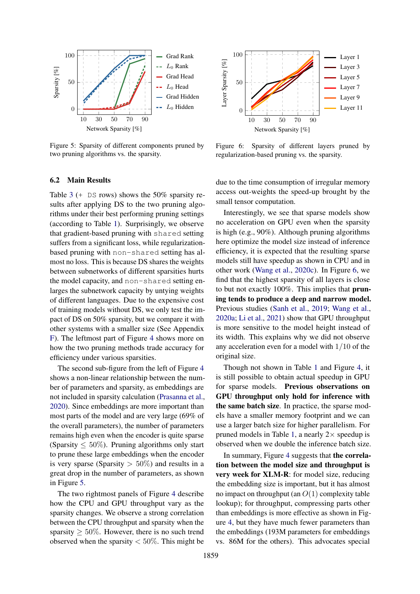<span id="page-7-1"></span>

Figure 5: Sparsity of different components pruned by two pruning algorithms vs. the sparsity.

#### <span id="page-7-0"></span>6.2 Main Results

Table [3](#page-6-5) (+ DS rows) shows the 50% sparsity results after applying DS to the two pruning algorithms under their best performing pruning settings (according to Table [1\)](#page-4-1). Surprisingly, we observe that gradient-based pruning with shared setting suffers from a significant loss, while regularizationbased pruning with non-shared setting has almost no loss. This is because DS shares the weights between subnetworks of different sparsities hurts the model capacity, and non-shared setting enlarges the subnetwork capacity by untying weights of different languages. Due to the expensive cost of training models without DS, we only test the impact of DS on 50% sparsity, but we compare it with other systems with a smaller size (See Appendix [F\)](#page-12-1). The leftmost part of Figure [4](#page-6-6) shows more on how the two pruning methods trade accuracy for efficiency under various sparsities.

The second sub-figure from the left of Figure [4](#page-6-6) shows a non-linear relationship between the number of parameters and sparsity, as embeddings are not included in sparsity calculation [\(Prasanna et al.,](#page-10-1) [2020\)](#page-10-1). Since embeddings are more important than most parts of the model and are very large (69% of the overall parameters), the number of parameters remains high even when the encoder is quite sparse (Sparsity  $\leq 50\%$ ). Pruning algorithms only start to prune these large embeddings when the encoder is very sparse (Sparsity  $> 50\%$ ) and results in a great drop in the number of parameters, as shown in Figure [5.](#page-7-1)

The two rightmost panels of Figure [4](#page-6-6) describe how the CPU and GPU throughput vary as the sparsity changes. We observe a strong correlation between the CPU throughput and sparsity when the sparsity  $> 50\%$ . However, there is no such trend observed when the sparsity  $< 50\%$ . This might be

<span id="page-7-2"></span>

Figure 6: Sparsity of different layers pruned by regularization-based pruning vs. the sparsity.

due to the time consumption of irregular memory access out-weights the speed-up brought by the small tensor computation.

Interestingly, we see that sparse models show no acceleration on GPU even when the sparsity is high (e.g., 90%). Although pruning algorithms here optimize the model size instead of inference efficiency, it is expected that the resulting sparse models still have speedup as shown in CPU and in other work [\(Wang et al.,](#page-10-0) [2020c\)](#page-10-0). In Figure [6,](#page-7-2) we find that the highest sparsity of all layers is close to but not exactly 100%. This implies that pruning tends to produce a deep and narrow model. Previous studies [\(Sanh et al.,](#page-10-14) [2019;](#page-10-14) [Wang et al.,](#page-10-16) [2020a;](#page-10-16) [Li et al.,](#page-9-17) [2021\)](#page-9-17) show that GPU throughput is more sensitive to the model height instead of its width. This explains why we did not observe any acceleration even for a model with 1/10 of the original size.

Though not shown in Table [1](#page-4-1) and Figure [4,](#page-6-6) it is still possible to obtain actual speedup in GPU for sparse models. Previous observations on GPU throughput only hold for inference with the same batch size. In practice, the sparse models have a smaller memory footprint and we can use a larger batch size for higher parallelism. For pruned models in Table [1,](#page-4-1) a nearly  $2 \times$  speedup is observed when we double the inference batch size.

In summary, Figure [4](#page-6-6) suggests that the correlation between the model size and throughput is very week for XLM-R: for model size, reducing the embedding size is important, but it has almost no impact on throughput (an  $O(1)$  complexity table lookup); for throughput, compressing parts other than embeddings is more effective as shown in Figure [4,](#page-6-6) but they have much fewer parameters than the embeddings (193M parameters for embeddings vs. 86M for the others). This advocates special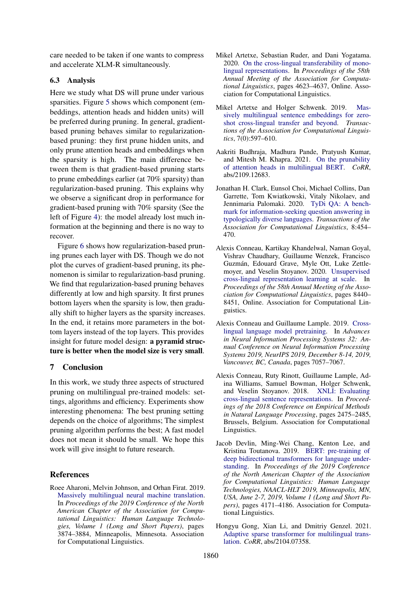care needed to be taken if one wants to compress and accelerate XLM-R simultaneously.

#### 6.3 Analysis

Here we study what DS will prune under various sparsities. Figure [5](#page-7-1) shows which component (embeddings, attention heads and hidden units) will be preferred during pruning. In general, gradientbased pruning behaves similar to regularizationbased pruning: they first prune hidden units, and only prune attention heads and embeddings when the sparsity is high. The main difference between them is that gradient-based pruning starts to prune embeddings earlier (at 70% sparsity) than regularization-based pruning. This explains why we observe a significant drop in performance for gradient-based pruning with 70% sparsity (See the left of Figure [4\)](#page-6-6): the model already lost much information at the beginning and there is no way to recover.

Figure [6](#page-7-2) shows how regularization-based pruning prunes each layer with DS. Though we do not plot the curves of gradient-based pruning, its phenomenon is similar to regularization-basd pruning. We find that regularization-based pruning behaves differently at low and high sparsity. It first prunes bottom layers when the sparsity is low, then gradually shift to higher layers as the sparsity increases. In the end, it retains more parameters in the bottom layers instead of the top layers. This provides insight for future model design: a pyramid structure is better when the model size is very small.

### 7 Conclusion

In this work, we study three aspects of structured pruning on multilingual pre-trained models: settings, algorithms and efficiency. Experiments show interesting phenomena: The best pruning setting depends on the choice of algorithms; The simplest pruning algorithm performs the best; A fast model does not mean it should be small. We hope this work will give insight to future research.

#### References

<span id="page-8-9"></span>Roee Aharoni, Melvin Johnson, and Orhan Firat. 2019. [Massively multilingual neural machine translation.](https://doi.org/10.18653/v1/N19-1388) In *Proceedings of the 2019 Conference of the North American Chapter of the Association for Computational Linguistics: Human Language Technologies, Volume 1 (Long and Short Papers)*, pages 3874–3884, Minneapolis, Minnesota. Association for Computational Linguistics.

- <span id="page-8-6"></span>Mikel Artetxe, Sebastian Ruder, and Dani Yogatama. 2020. [On the cross-lingual transferability of mono](https://doi.org/10.18653/v1/2020.acl-main.421)[lingual representations.](https://doi.org/10.18653/v1/2020.acl-main.421) In *Proceedings of the 58th Annual Meeting of the Association for Computational Linguistics*, pages 4623–4637, Online. Association for Computational Linguistics.
- <span id="page-8-8"></span>Mikel Artetxe and Holger Schwenk. 2019. [Mas](https://transacl.org/ojs/index.php/tacl/article/view/1742)[sively multilingual sentence embeddings for zero](https://transacl.org/ojs/index.php/tacl/article/view/1742)[shot cross-lingual transfer and beyond.](https://transacl.org/ojs/index.php/tacl/article/view/1742) *Transactions of the Association for Computational Linguistics*, 7(0):597–610.
- <span id="page-8-3"></span>Aakriti Budhraja, Madhura Pande, Pratyush Kumar, and Mitesh M. Khapra. 2021. [On the prunability](http://arxiv.org/abs/2109.12683) [of attention heads in multilingual BERT.](http://arxiv.org/abs/2109.12683) *CoRR*, abs/2109.12683.
- <span id="page-8-7"></span>Jonathan H. Clark, Eunsol Choi, Michael Collins, Dan Garrette, Tom Kwiatkowski, Vitaly Nikolaev, and Jennimaria Palomaki. 2020. [TyDi QA: A bench](https://doi.org/10.1162/tacl_a_00317)[mark for information-seeking question answering in](https://doi.org/10.1162/tacl_a_00317) [typologically diverse languages.](https://doi.org/10.1162/tacl_a_00317) *Transactions of the Association for Computational Linguistics*, 8:454– 470.
- <span id="page-8-2"></span>Alexis Conneau, Kartikay Khandelwal, Naman Goyal, Vishrav Chaudhary, Guillaume Wenzek, Francisco Guzmán, Edouard Grave, Myle Ott, Luke Zettlemoyer, and Veselin Stoyanov. 2020. [Unsupervised](https://doi.org/10.18653/v1/2020.acl-main.747) [cross-lingual representation learning at scale.](https://doi.org/10.18653/v1/2020.acl-main.747) In *Proceedings of the 58th Annual Meeting of the Association for Computational Linguistics*, pages 8440– 8451, Online. Association for Computational Linguistics.
- <span id="page-8-1"></span>Alexis Conneau and Guillaume Lample. 2019. [Cross](https://proceedings.neurips.cc/paper/2019/hash/c04c19c2c2474dbf5f7ac4372c5b9af1-Abstract.html)[lingual language model pretraining.](https://proceedings.neurips.cc/paper/2019/hash/c04c19c2c2474dbf5f7ac4372c5b9af1-Abstract.html) In *Advances in Neural Information Processing Systems 32: Annual Conference on Neural Information Processing Systems 2019, NeurIPS 2019, December 8-14, 2019, Vancouver, BC, Canada*, pages 7057–7067.
- <span id="page-8-5"></span>Alexis Conneau, Ruty Rinott, Guillaume Lample, Adina Williams, Samuel Bowman, Holger Schwenk, and Veselin Stoyanov. 2018. [XNLI: Evaluating](https://doi.org/10.18653/v1/D18-1269) [cross-lingual sentence representations.](https://doi.org/10.18653/v1/D18-1269) In *Proceedings of the 2018 Conference on Empirical Methods in Natural Language Processing*, pages 2475–2485, Brussels, Belgium. Association for Computational Linguistics.
- <span id="page-8-0"></span>Jacob Devlin, Ming-Wei Chang, Kenton Lee, and Kristina Toutanova. 2019. [BERT: pre-training of](https://doi.org/10.18653/v1/n19-1423) [deep bidirectional transformers for language under](https://doi.org/10.18653/v1/n19-1423)[standing.](https://doi.org/10.18653/v1/n19-1423) In *Proceedings of the 2019 Conference of the North American Chapter of the Association for Computational Linguistics: Human Language Technologies, NAACL-HLT 2019, Minneapolis, MN, USA, June 2-7, 2019, Volume 1 (Long and Short Papers)*, pages 4171–4186. Association for Computational Linguistics.
- <span id="page-8-4"></span>Hongyu Gong, Xian Li, and Dmitriy Genzel. 2021. [Adaptive sparse transformer for multilingual trans](http://arxiv.org/abs/2104.07358)[lation.](http://arxiv.org/abs/2104.07358) *CoRR*, abs/2104.07358.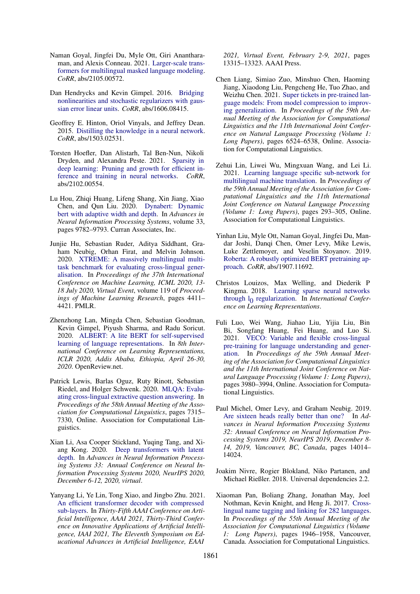- <span id="page-9-4"></span>Naman Goyal, Jingfei Du, Myle Ott, Giri Anantharaman, and Alexis Conneau. 2021. [Larger-scale trans](http://arxiv.org/abs/2105.00572)[formers for multilingual masked language modeling.](http://arxiv.org/abs/2105.00572) *CoRR*, abs/2105.00572.
- <span id="page-9-12"></span>Dan Hendrycks and Kevin Gimpel. 2016. [Bridging](http://arxiv.org/abs/1606.08415) [nonlinearities and stochastic regularizers with gaus](http://arxiv.org/abs/1606.08415)[sian error linear units.](http://arxiv.org/abs/1606.08415) *CoRR*, abs/1606.08415.
- <span id="page-9-10"></span>Geoffrey E. Hinton, Oriol Vinyals, and Jeffrey Dean. 2015. [Distilling the knowledge in a neural network.](http://arxiv.org/abs/1503.02531) *CoRR*, abs/1503.02531.
- <span id="page-9-8"></span>Torsten Hoefler, Dan Alistarh, Tal Ben-Nun, Nikoli Dryden, and Alexandra Peste. 2021. [Sparsity in](http://arxiv.org/abs/2102.00554) [deep learning: Pruning and growth for efficient in](http://arxiv.org/abs/2102.00554)[ference and training in neural networks.](http://arxiv.org/abs/2102.00554) *CoRR*, abs/2102.00554.
- <span id="page-9-11"></span>Lu Hou, Zhiqi Huang, Lifeng Shang, Xin Jiang, Xiao Chen, and Qun Liu. 2020. [Dynabert: Dynamic](https://proceedings.neurips.cc/paper/2020/file/6f5216f8d89b086c18298e043bfe48ed-Paper.pdf) [bert with adaptive width and depth.](https://proceedings.neurips.cc/paper/2020/file/6f5216f8d89b086c18298e043bfe48ed-Paper.pdf) In *Advances in Neural Information Processing Systems*, volume 33, pages 9782–9793. Curran Associates, Inc.
- <span id="page-9-5"></span>Junjie Hu, Sebastian Ruder, Aditya Siddhant, Graham Neubig, Orhan Firat, and Melvin Johnson. 2020. [XTREME: A massively multilingual multi](http://proceedings.mlr.press/v119/hu20b.html)[task benchmark for evaluating cross-lingual gener](http://proceedings.mlr.press/v119/hu20b.html)[alisation.](http://proceedings.mlr.press/v119/hu20b.html) In *Proceedings of the 37th International Conference on Machine Learning, ICML 2020, 13- 18 July 2020, Virtual Event*, volume 119 of *Proceedings of Machine Learning Research*, pages 4411– 4421. PMLR.
- <span id="page-9-13"></span>Zhenzhong Lan, Mingda Chen, Sebastian Goodman, Kevin Gimpel, Piyush Sharma, and Radu Soricut. 2020. [ALBERT: A lite BERT for self-supervised](https://openreview.net/forum?id=H1eA7AEtvS) [learning of language representations.](https://openreview.net/forum?id=H1eA7AEtvS) In *8th International Conference on Learning Representations, ICLR 2020, Addis Ababa, Ethiopia, April 26-30, 2020*. OpenReview.net.
- <span id="page-9-16"></span>Patrick Lewis, Barlas Oguz, Ruty Rinott, Sebastian Riedel, and Holger Schwenk. 2020. [MLQA: Evalu](https://doi.org/10.18653/v1/2020.acl-main.653)[ating cross-lingual extractive question answering.](https://doi.org/10.18653/v1/2020.acl-main.653) In *Proceedings of the 58th Annual Meeting of the Association for Computational Linguistics*, pages 7315– 7330, Online. Association for Computational Linguistics.
- <span id="page-9-6"></span>Xian Li, Asa Cooper Stickland, Yuqing Tang, and Xiang Kong. 2020. [Deep transformers with latent](https://proceedings.neurips.cc/paper/2020/hash/1325cdae3b6f0f91a1b629307bf2d498-Abstract.html) [depth.](https://proceedings.neurips.cc/paper/2020/hash/1325cdae3b6f0f91a1b629307bf2d498-Abstract.html) In *Advances in Neural Information Processing Systems 33: Annual Conference on Neural Information Processing Systems 2020, NeurIPS 2020, December 6-12, 2020, virtual*.
- <span id="page-9-17"></span>Yanyang Li, Ye Lin, Tong Xiao, and Jingbo Zhu. 2021. [An efficient transformer decoder with compressed](https://ojs.aaai.org/index.php/AAAI/article/view/17572) [sub-layers.](https://ojs.aaai.org/index.php/AAAI/article/view/17572) In *Thirty-Fifth AAAI Conference on Artificial Intelligence, AAAI 2021, Thirty-Third Conference on Innovative Applications of Artificial Intelligence, IAAI 2021, The Eleventh Symposium on Educational Advances in Artificial Intelligence, EAAI*

*2021, Virtual Event, February 2-9, 2021*, pages 13315–13323. AAAI Press.

- <span id="page-9-2"></span>Chen Liang, Simiao Zuo, Minshuo Chen, Haoming Jiang, Xiaodong Liu, Pengcheng He, Tuo Zhao, and Weizhu Chen. 2021. [Super tickets in pre-trained lan](https://doi.org/10.18653/v1/2021.acl-long.510)[guage models: From model compression to improv](https://doi.org/10.18653/v1/2021.acl-long.510)[ing generalization.](https://doi.org/10.18653/v1/2021.acl-long.510) In *Proceedings of the 59th Annual Meeting of the Association for Computational Linguistics and the 11th International Joint Conference on Natural Language Processing (Volume 1: Long Papers)*, pages 6524–6538, Online. Association for Computational Linguistics.
- <span id="page-9-7"></span>Zehui Lin, Liwei Wu, Mingxuan Wang, and Lei Li. 2021. [Learning language specific sub-network for](https://doi.org/10.18653/v1/2021.acl-long.25) [multilingual machine translation.](https://doi.org/10.18653/v1/2021.acl-long.25) In *Proceedings of the 59th Annual Meeting of the Association for Computational Linguistics and the 11th International Joint Conference on Natural Language Processing (Volume 1: Long Papers)*, pages 293–305, Online. Association for Computational Linguistics.
- <span id="page-9-0"></span>Yinhan Liu, Myle Ott, Naman Goyal, Jingfei Du, Mandar Joshi, Danqi Chen, Omer Levy, Mike Lewis, Luke Zettlemoyer, and Veselin Stoyanov. 2019. [Roberta: A robustly optimized BERT pretraining ap](http://arxiv.org/abs/1907.11692)[proach.](http://arxiv.org/abs/1907.11692) *CoRR*, abs/1907.11692.
- <span id="page-9-9"></span>Christos Louizos, Max Welling, and Diederik P Kingma. 2018. [Learning sparse neural networks](http://arxiv.org/abs/1712.01312) through  $l_0$  [regularization.](http://arxiv.org/abs/1712.01312) In *International Conference on Learning Representations*.
- <span id="page-9-3"></span>Fuli Luo, Wei Wang, Jiahao Liu, Yijia Liu, Bin Bi, Songfang Huang, Fei Huang, and Luo Si. 2021. [VECO: Variable and flexible cross-lingual](https://doi.org/10.18653/v1/2021.acl-long.308) [pre-training for language understanding and gener](https://doi.org/10.18653/v1/2021.acl-long.308)[ation.](https://doi.org/10.18653/v1/2021.acl-long.308) In *Proceedings of the 59th Annual Meeting of the Association for Computational Linguistics and the 11th International Joint Conference on Natural Language Processing (Volume 1: Long Papers)*, pages 3980–3994, Online. Association for Computational Linguistics.
- <span id="page-9-1"></span>Paul Michel, Omer Levy, and Graham Neubig. 2019. [Are sixteen heads really better than one?](https://proceedings.neurips.cc/paper/2019/hash/2c601ad9d2ff9bc8b282670cdd54f69f-Abstract.html) In *Advances in Neural Information Processing Systems 32: Annual Conference on Neural Information Processing Systems 2019, NeurIPS 2019, December 8- 14, 2019, Vancouver, BC, Canada*, pages 14014– 14024.
- <span id="page-9-14"></span>Joakim Nivre, Rogier Blokland, Niko Partanen, and Michael Rießler. 2018. Universal dependencies 2.2.
- <span id="page-9-15"></span>Xiaoman Pan, Boliang Zhang, Jonathan May, Joel Nothman, Kevin Knight, and Heng Ji. 2017. [Cross](https://doi.org/10.18653/v1/P17-1178)[lingual name tagging and linking for 282 languages.](https://doi.org/10.18653/v1/P17-1178) In *Proceedings of the 55th Annual Meeting of the Association for Computational Linguistics (Volume 1: Long Papers)*, pages 1946–1958, Vancouver, Canada. Association for Computational Linguistics.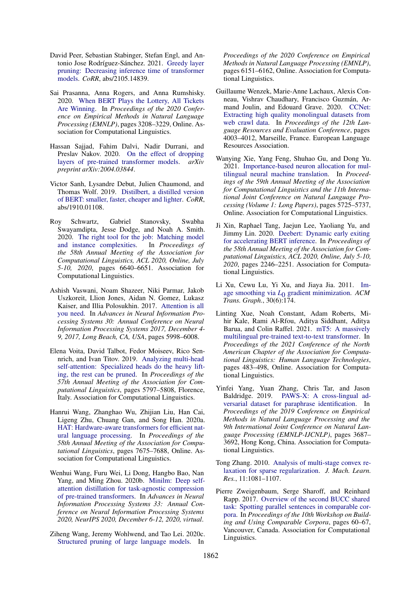- <span id="page-10-7"></span>David Peer, Sebastian Stabinger, Stefan Engl, and Antonio Jose Rodríguez-Sánchez. 2021. [Greedy layer](http://arxiv.org/abs/2105.14839) [pruning: Decreasing inference time of transformer](http://arxiv.org/abs/2105.14839) [models.](http://arxiv.org/abs/2105.14839) *CoRR*, abs/2105.14839.
- <span id="page-10-1"></span>Sai Prasanna, Anna Rogers, and Anna Rumshisky. 2020. [When BERT Plays the Lottery, All Tickets](https://doi.org/10.18653/v1/2020.emnlp-main.259) [Are Winning.](https://doi.org/10.18653/v1/2020.emnlp-main.259) In *Proceedings of the 2020 Conference on Empirical Methods in Natural Language Processing (EMNLP)*, pages 3208–3229, Online. Association for Computational Linguistics.
- <span id="page-10-6"></span>Hassan Sajjad, Fahim Dalvi, Nadir Durrani, and Preslav Nakov. 2020. [On the effect of dropping]("https://arxiv.org/abs/2004.03844") [layers of pre-trained transformer models.]("https://arxiv.org/abs/2004.03844") *arXiv preprint arXiv:2004.03844*.
- <span id="page-10-14"></span>Victor Sanh, Lysandre Debut, Julien Chaumond, and Thomas Wolf. 2019. [Distilbert, a distilled version](http://arxiv.org/abs/1910.01108) [of BERT: smaller, faster, cheaper and lighter.](http://arxiv.org/abs/1910.01108) *CoRR*, abs/1910.01108.
- <span id="page-10-8"></span>Roy Schwartz, Gabriel Stanovsky, Swabha Swayamdipta, Jesse Dodge, and Noah A. Smith. 2020. [The right tool for the job: Matching model](https://doi.org/10.18653/v1/2020.acl-main.593) [and instance complexities.](https://doi.org/10.18653/v1/2020.acl-main.593) In *Proceedings of the 58th Annual Meeting of the Association for Computational Linguistics, ACL 2020, Online, July 5-10, 2020*, pages 6640–6651. Association for Computational Linguistics.
- <span id="page-10-5"></span>Ashish Vaswani, Noam Shazeer, Niki Parmar, Jakob Uszkoreit, Llion Jones, Aidan N. Gomez, Lukasz Kaiser, and Illia Polosukhin. 2017. [Attention is all](https://proceedings.neurips.cc/paper/2017/hash/3f5ee243547dee91fbd053c1c4a845aa-Abstract.html) [you need.](https://proceedings.neurips.cc/paper/2017/hash/3f5ee243547dee91fbd053c1c4a845aa-Abstract.html) In *Advances in Neural Information Processing Systems 30: Annual Conference on Neural Information Processing Systems 2017, December 4- 9, 2017, Long Beach, CA, USA*, pages 5998–6008.
- <span id="page-10-3"></span>Elena Voita, David Talbot, Fedor Moiseev, Rico Sennrich, and Ivan Titov. 2019. [Analyzing multi-head](https://doi.org/10.18653/v1/P19-1580) [self-attention: Specialized heads do the heavy lift](https://doi.org/10.18653/v1/P19-1580)[ing, the rest can be pruned.](https://doi.org/10.18653/v1/P19-1580) In *Proceedings of the 57th Annual Meeting of the Association for Computational Linguistics*, pages 5797–5808, Florence, Italy. Association for Computational Linguistics.
- <span id="page-10-16"></span>Hanrui Wang, Zhanghao Wu, Zhijian Liu, Han Cai, Ligeng Zhu, Chuang Gan, and Song Han. 2020a. [HAT: Hardware-aware transformers for efficient nat](https://doi.org/10.18653/v1/2020.acl-main.686)[ural language processing.](https://doi.org/10.18653/v1/2020.acl-main.686) In *Proceedings of the 58th Annual Meeting of the Association for Computational Linguistics*, pages 7675–7688, Online. Association for Computational Linguistics.
- <span id="page-10-17"></span>Wenhui Wang, Furu Wei, Li Dong, Hangbo Bao, Nan Yang, and Ming Zhou. 2020b. [Minilm: Deep self](https://proceedings.neurips.cc/paper/2020/hash/3f5ee243547dee91fbd053c1c4a845aa-Abstract.html)[attention distillation for task-agnostic compression](https://proceedings.neurips.cc/paper/2020/hash/3f5ee243547dee91fbd053c1c4a845aa-Abstract.html) [of pre-trained transformers.](https://proceedings.neurips.cc/paper/2020/hash/3f5ee243547dee91fbd053c1c4a845aa-Abstract.html) In *Advances in Neural Information Processing Systems 33: Annual Conference on Neural Information Processing Systems 2020, NeurIPS 2020, December 6-12, 2020, virtual*.
- <span id="page-10-0"></span>Ziheng Wang, Jeremy Wohlwend, and Tao Lei. 2020c. [Structured pruning of large language models.](https://doi.org/10.18653/v1/2020.emnlp-main.496) In

*Proceedings of the 2020 Conference on Empirical Methods in Natural Language Processing (EMNLP)*, pages 6151–6162, Online. Association for Computational Linguistics.

- <span id="page-10-12"></span>Guillaume Wenzek, Marie-Anne Lachaux, Alexis Conneau, Vishrav Chaudhary, Francisco Guzmán, Armand Joulin, and Edouard Grave. 2020. [CCNet:](https://aclanthology.org/2020.lrec-1.494) [Extracting high quality monolingual datasets from](https://aclanthology.org/2020.lrec-1.494) [web crawl data.](https://aclanthology.org/2020.lrec-1.494) In *Proceedings of the 12th Language Resources and Evaluation Conference*, pages 4003–4012, Marseille, France. European Language Resources Association.
- <span id="page-10-4"></span>Wanying Xie, Yang Feng, Shuhao Gu, and Dong Yu. 2021. [Importance-based neuron allocation for mul](https://doi.org/10.18653/v1/2021.acl-long.445)[tilingual neural machine translation.](https://doi.org/10.18653/v1/2021.acl-long.445) In *Proceedings of the 59th Annual Meeting of the Association for Computational Linguistics and the 11th International Joint Conference on Natural Language Processing (Volume 1: Long Papers)*, pages 5725–5737, Online. Association for Computational Linguistics.
- <span id="page-10-9"></span>Ji Xin, Raphael Tang, Jaejun Lee, Yaoliang Yu, and Jimmy Lin. 2020. [Deebert: Dynamic early exiting](https://doi.org/10.18653/v1/2020.acl-main.204) [for accelerating BERT inference.](https://doi.org/10.18653/v1/2020.acl-main.204) In *Proceedings of the 58th Annual Meeting of the Association for Computational Linguistics, ACL 2020, Online, July 5-10, 2020*, pages 2246–2251. Association for Computational Linguistics.
- <span id="page-10-11"></span>Li Xu, Cewu Lu, Yi Xu, and Jiaya Jia. 2011. [Im](https://doi.org/10.1145/2070781.2024208)age smoothing via *L*0 [gradient minimization.](https://doi.org/10.1145/2070781.2024208) *ACM Trans. Graph.*, 30(6):174.
- <span id="page-10-2"></span>Linting Xue, Noah Constant, Adam Roberts, Mihir Kale, Rami Al-Rfou, Aditya Siddhant, Aditya Barua, and Colin Raffel. 2021. [mT5: A massively](https://doi.org/10.18653/v1/2021.naacl-main.41) [multilingual pre-trained text-to-text transformer.](https://doi.org/10.18653/v1/2021.naacl-main.41) In *Proceedings of the 2021 Conference of the North American Chapter of the Association for Computational Linguistics: Human Language Technologies*, pages 483–498, Online. Association for Computational Linguistics.
- <span id="page-10-13"></span>Yinfei Yang, Yuan Zhang, Chris Tar, and Jason Baldridge. 2019. [PAWS-X: A cross-lingual ad](https://doi.org/10.18653/v1/D19-1382)[versarial dataset for paraphrase identification.](https://doi.org/10.18653/v1/D19-1382) In *Proceedings of the 2019 Conference on Empirical Methods in Natural Language Processing and the 9th International Joint Conference on Natural Language Processing (EMNLP-IJCNLP)*, pages 3687– 3692, Hong Kong, China. Association for Computational Linguistics.
- <span id="page-10-10"></span>Tong Zhang. 2010. [Analysis of multi-stage convex re](https://dl.acm.org/citation.cfm?id=1756041)[laxation for sparse regularization.](https://dl.acm.org/citation.cfm?id=1756041) *J. Mach. Learn. Res.*, 11:1081–1107.
- <span id="page-10-15"></span>Pierre Zweigenbaum, Serge Sharoff, and Reinhard Rapp. 2017. [Overview of the second BUCC shared](https://doi.org/10.18653/v1/W17-2512) [task: Spotting parallel sentences in comparable cor](https://doi.org/10.18653/v1/W17-2512)[pora.](https://doi.org/10.18653/v1/W17-2512) In *Proceedings of the 10th Workshop on Building and Using Comparable Corpora*, pages 60–67, Vancouver, Canada. Association for Computational Linguistics.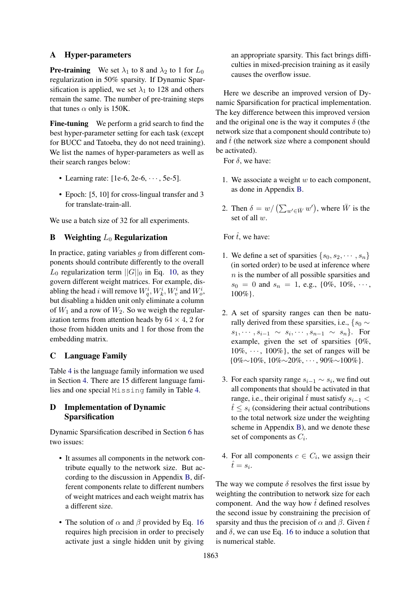## <span id="page-11-2"></span>A Hyper-parameters

**Pre-training** We set  $\lambda_1$  to 8 and  $\lambda_2$  to 1 for  $L_0$ regularization in 50% sparsity. If Dynamic Sparsification is applied, we set  $\lambda_1$  to 128 and others remain the same. The number of pre-training steps that tunes  $\alpha$  only is 150K.

Fine-tuning We perform a grid search to find the best hyper-parameter setting for each task (except for BUCC and Tatoeba, they do not need training). We list the names of hyper-parameters as well as their search ranges below:

- Learning rate:  $[1e-6, 2e-6, \dots, 5e-5]$ .
- Epoch: [5, 10] for cross-lingual transfer and 3 for translate-train-all.

We use a batch size of 32 for all experiments.

## <span id="page-11-0"></span>**B** Weighting  $L_0$  Regularization

In practice, gating variables  $q$  from different components should contribute differently to the overall  $L_0$  regularization term  $||G||_0$  in Eq. [10,](#page-3-1) as they govern different weight matrices. For example, disabling the head i will remove  $W_q^i, W_k^i, W_v^i$  and  $W_o^i$ , but disabling a hidden unit only eliminate a column of  $W_1$  and a row of  $W_2$ . So we weigh the regularization terms from attention heads by  $64 \times 4$ , 2 for those from hidden units and 1 for those from the embedding matrix.

## <span id="page-11-1"></span>C Language Family

Table [4](#page-12-2) is the language family information we used in Section [4.](#page-2-0) There are 15 different language families and one special Missing family in Table [4.](#page-12-2)

## <span id="page-11-3"></span>D Implementation of Dynamic Sparsification

Dynamic Sparsification described in Section [6](#page-6-7) has two issues:

- It assumes all components in the network contribute equally to the network size. But according to the discussion in Appendix [B,](#page-11-0) different components relate to different numbers of weight matrices and each weight matrix has a different size.
- The solution of  $\alpha$  and  $\beta$  provided by Eq. [16](#page-6-4) requires high precision in order to precisely activate just a single hidden unit by giving

an appropriate sparsity. This fact brings difficulties in mixed-precision training as it easily causes the overflow issue.

Here we describe an improved version of Dynamic Sparsification for practical implementation. The key difference between this improved version and the original one is the way it computes  $\delta$  (the network size that a component should contribute to) and  $\hat{t}$  (the network size where a component should be activated).

For  $\delta$ , we have:

- 1. We associate a weight  $w$  to each component, as done in Appendix [B.](#page-11-0)
- 2. Then  $\delta = w / (\sum_{w' \in \bar{W}} w')$ , where  $\bar{W}$  is the set of all w.

For  $\hat{t}$ , we have:

- 1. We define a set of sparsities  $\{s_0, s_2, \dots, s_n\}$ (in sorted order) to be used at inference where  $n$  is the number of all possible sparsities and  $s_0 = 0$  and  $s_n = 1$ , e.g., {0%, 10%,  $\cdots$ } 100%}.
- 2. A set of sparsity ranges can then be naturally derived from these sparsities, i.e.,  $\{s_0 \sim$  $s_1, \cdots, s_{i-1} \sim s_i, \cdots, s_{n-1} \sim s_n$ . For example, given the set of sparsities {0%,  $10\%, \dots, 100\%$ , the set of ranges will be  ${0\% \sim 10\% \ldots 10\% \sim 20\% \ldots 90\% \sim 100\%}.$
- 3. For each sparsity range  $s_{i-1} \sim s_i$ , we find out all components that should be activated in that range, i.e., their original  $\hat{t}$  must satisfy  $s_{i-1}$  <  $t \leq s_i$  (considering their actual contributions to the total network size under the weighting scheme in Appendix [B\)](#page-11-0), and we denote these set of components as  $C_i$ .
- 4. For all components  $c \in C_i$ , we assign their  $\hat{t} = s_i.$

The way we compute  $\delta$  resolves the first issue by weighting the contribution to network size for each component. And the way how  $\hat{t}$  defined resolves the second issue by constraining the precision of sparsity and thus the precision of  $\alpha$  and  $\beta$ . Given  $\hat{t}$ and  $\delta$ , we can use Eq. [16](#page-6-4) to induce a solution that is numerical stable.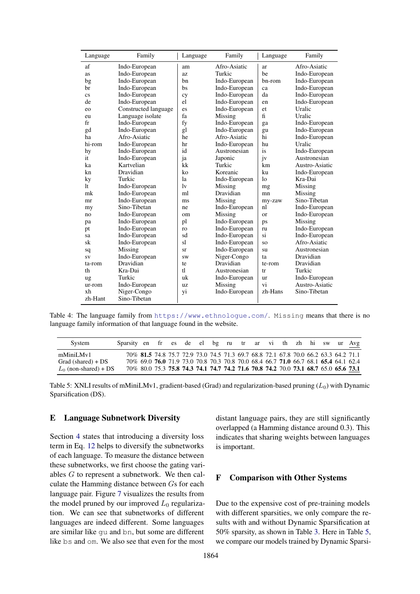<span id="page-12-2"></span>

| Language               | Family               | Language     | Family        | Language       | Family         |
|------------------------|----------------------|--------------|---------------|----------------|----------------|
| af                     | Indo-European        | am           | Afro-Asiatic  | ar             | Afro-Asiatic   |
| as                     | Indo-European        | az           | Turkic        | be             | Indo-European  |
| bg                     | Indo-European        | bn           | Indo-European | bn-rom         | Indo-European  |
| br                     | Indo-European        | bs           | Indo-European | ca             | Indo-European  |
| $\overline{\text{cs}}$ | Indo-European        | cy           | Indo-European | da             | Indo-European  |
| de                     | Indo-European        | el           | Indo-European | en             | Indo-European  |
| eo                     | Constructed language | es           | Indo-European | et             | Uralic         |
| eu                     | Language isolate     | fa           | Missing       | $f_1$          | Uralic         |
| $f_{r}$                | Indo-European        | fy           | Indo-European | ga             | Indo-European  |
| gd                     | Indo-European        | gl           | Indo-European | gu             | Indo-European  |
| ha                     | Afro-Asiatic         | he           | Afro-Asiatic  | hi             | Indo-European  |
| hi-rom                 | Indo-European        | hr           | Indo-European | hu             | Uralic         |
| hy                     | Indo-European        | id           | Austronesian  | is             | Indo-European  |
| it                     | Indo-European        | ja           | Japonic       | jv             | Austronesian   |
| ka                     | Kartvelian           | kk           | Turkic        | km             | Austro-Asiatic |
| kn                     | Dravidian            | ko           | Koreanic      | ku             | Indo-European  |
| ky                     | Turkic               | la           | Indo-European | 1 <sub>0</sub> | Kra-Dai        |
| 1t                     | Indo-European        | $\mathbf{v}$ | Missing       | mg             | Missing        |
| mk                     | Indo-European        | ml           | Dravidian     | mn             | Missing        |
| mr                     | Indo-European        | ms           | Missing       | my-zaw         | Sino-Tibetan   |
| my                     | Sino-Tibetan         | ne           | Indo-European | nl             | Indo-European  |
| no                     | Indo-European        | om           | Missing       | or             | Indo-European  |
| pa                     | Indo-European        | pl           | Indo-European | ps             | Missing        |
| pt                     | Indo-European        | ro           | Indo-European | ru             | Indo-European  |
| sa                     | Indo-European        | sd           | Indo-European | si             | Indo-European  |
| sk                     | Indo-European        | sl           | Indo-European | <b>SO</b>      | Afro-Asiatic   |
| sq                     | Missing              | sr           | Indo-European | su             | Austronesian   |
| SV                     | Indo-European        | <b>SW</b>    | Niger-Congo   | ta             | Dravidian      |
| ta-rom                 | Dravidian            | te           | Dravidian     | te-rom         | Dravidian      |
| th                     | Kra-Dai              | t            | Austronesian  | tr             | Turkic         |
| ug                     | Turkic               | uk           | Indo-European | ur             | Indo-European  |
| ur-rom                 | Indo-European        | UZ           | Missing       | vi             | Austro-Asiatic |
| xh                     | Niger-Congo          | yi           | Indo-European | zh-Hans        | Sino-Tibetan   |
| zh-Hant                | Sino-Tibetan         |              |               |                |                |

Table 4: The language family from <https://www.ethnologue.com/>. Missing means that there is no language family information of that language found in the website.

<span id="page-12-3"></span>

| System                  | Sparsity en fr es de el bg ru tr ar vi th zh hi sw ur Avg                           |  |  |  |  |  |  |  |                                                                                     |
|-------------------------|-------------------------------------------------------------------------------------|--|--|--|--|--|--|--|-------------------------------------------------------------------------------------|
| mMiniLMv1               |                                                                                     |  |  |  |  |  |  |  | 70% 81.5 74.8 75.7 72.9 73.0 74.5 71.3 69.7 68.8 72.1 67.8 70.0 66.2 63.3 64.2 71.1 |
| Grad (shared) + $DS$    | 70% 69.0 76.0 71.9 73.0 70.8 70.3 70.8 70.0 68.4 66.7 71.0 66.7 68.1 65.4 64.1 62.4 |  |  |  |  |  |  |  |                                                                                     |
| $L_0$ (non-shared) + DS | 70% 80.0 75.3 75.8 74.3 74.1 74.7 74.2 71.6 70.8 74.2 70.0 73.1 68.7 65.0 65.6 73.1 |  |  |  |  |  |  |  |                                                                                     |

Table 5: XNLI results of mMiniLMv1, gradient-based (Grad) and regularization-based pruning  $(L_0)$  with Dynamic Sparsification (DS).

### <span id="page-12-0"></span>E Language Subnetwork Diversity

Section [4](#page-2-0) states that introducing a diversity loss term in Eq. [12](#page-3-3) helps to diversify the subnetworks of each language. To measure the distance between these subnetworks, we first choose the gating variables G to represent a subnetwork. We then calculate the Hamming distance between Gs for each language pair. Figure [7](#page-13-0) visualizes the results from the model pruned by our improved  $L_0$  regularization. We can see that subnetworks of different languages are indeed different. Some languages are similar like gu and bn, but some are different like bs and om. We also see that even for the most

distant language pairs, they are still significantly overlapped (a Hamming distance around 0.3). This indicates that sharing weights between languages is important.

## <span id="page-12-1"></span>F Comparison with Other Systems

Due to the expensive cost of pre-training models with different sparsities, we only compare the results with and without Dynamic Sparsification at 50% sparsity, as shown in Table [3.](#page-6-5) Here in Table [5,](#page-12-3) we compare our models trained by Dynamic Sparsi-